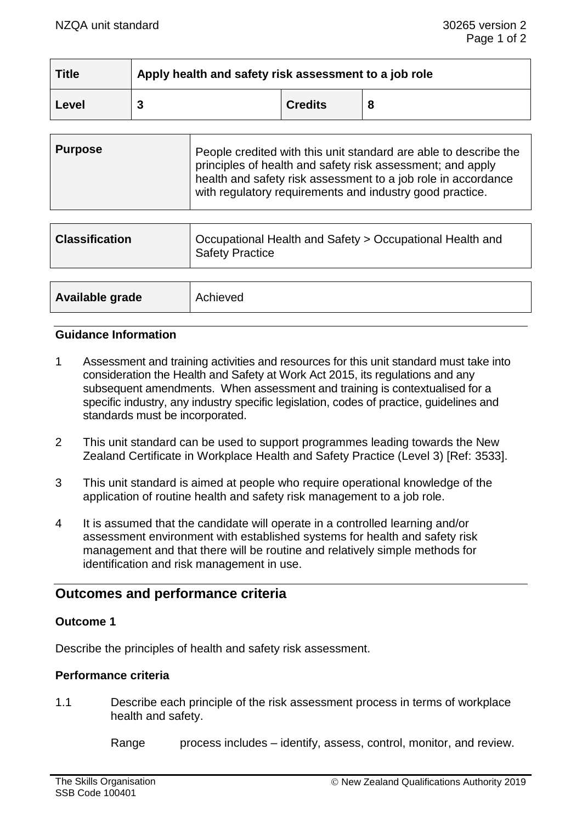| <b>Title</b> | Apply health and safety risk assessment to a job role |                |  |
|--------------|-------------------------------------------------------|----------------|--|
| Level        |                                                       | <b>Credits</b> |  |

|  | <b>Purpose</b> | People credited with this unit standard are able to describe the<br>principles of health and safety risk assessment; and apply<br>health and safety risk assessment to a job role in accordance<br>with regulatory requirements and industry good practice. |
|--|----------------|-------------------------------------------------------------------------------------------------------------------------------------------------------------------------------------------------------------------------------------------------------------|
|--|----------------|-------------------------------------------------------------------------------------------------------------------------------------------------------------------------------------------------------------------------------------------------------------|

| <b>Classification</b> | Occupational Health and Safety > Occupational Health and<br><b>Safety Practice</b> |
|-----------------------|------------------------------------------------------------------------------------|
|                       |                                                                                    |
| Available grade       | Achieved                                                                           |

### **Guidance Information**

- 1 Assessment and training activities and resources for this unit standard must take into consideration the Health and Safety at Work Act 2015, its regulations and any subsequent amendments. When assessment and training is contextualised for a specific industry, any industry specific legislation, codes of practice, guidelines and standards must be incorporated.
- 2 This unit standard can be used to support programmes leading towards the New Zealand Certificate in Workplace Health and Safety Practice (Level 3) [Ref: 3533].
- 3 This unit standard is aimed at people who require operational knowledge of the application of routine health and safety risk management to a job role.
- 4 It is assumed that the candidate will operate in a controlled learning and/or assessment environment with established systems for health and safety risk management and that there will be routine and relatively simple methods for identification and risk management in use.

# **Outcomes and performance criteria**

#### **Outcome 1**

Describe the principles of health and safety risk assessment.

#### **Performance criteria**

1.1 Describe each principle of the risk assessment process in terms of workplace health and safety.

Range process includes – identify, assess, control, monitor, and review.